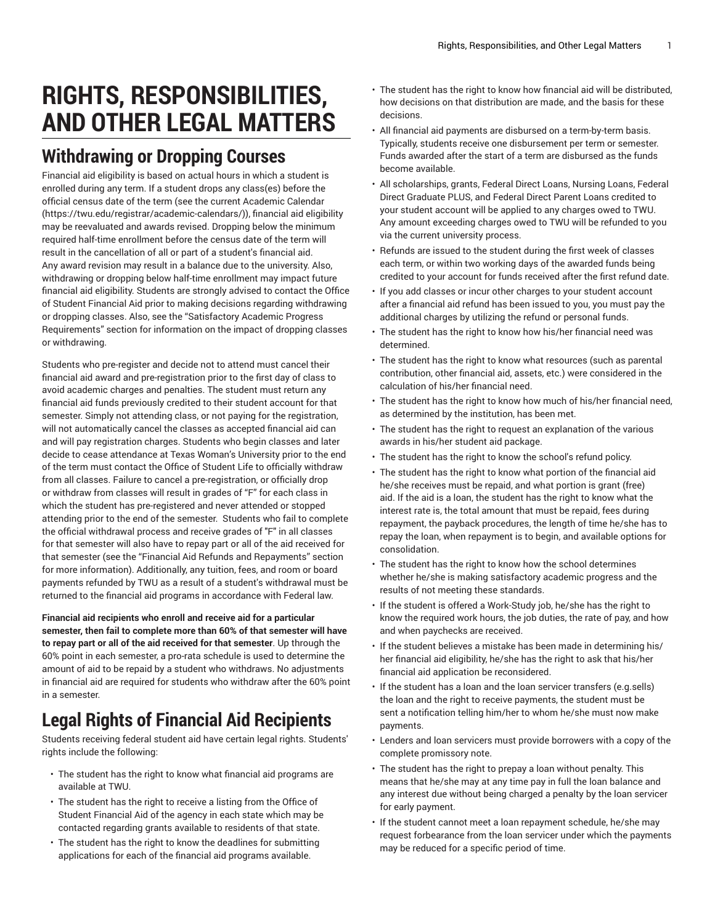## **RIGHTS, RESPONSIBILITIES, AND OTHER LEGAL MATTERS**

## **Withdrawing or Dropping Courses**

Financial aid eligibility is based on actual hours in which a student is enrolled during any term. If a student drops any class(es) before the official census date of the term (see the current [Academic Calendar](https://twu.edu/registrar/academic-calendars/) ([https://twu.edu/registrar/academic-calendars/\)](https://twu.edu/registrar/academic-calendars/)), financial aid eligibility may be reevaluated and awards revised. Dropping below the minimum required half-time enrollment before the census date of the term will result in the cancellation of all or part of a student's financial aid. Any award revision may result in a balance due to the university. Also, withdrawing or dropping below half-time enrollment may impact future financial aid eligibility. Students are strongly advised to contact the Office of Student Financial Aid prior to making decisions regarding withdrawing or dropping classes. Also, see the "Satisfactory Academic Progress Requirements" section for information on the impact of dropping classes or withdrawing.

Students who pre-register and decide not to attend must cancel their financial aid award and pre-registration prior to the first day of class to avoid academic charges and penalties. The student must return any financial aid funds previously credited to their student account for that semester. Simply not attending class, or not paying for the registration, will not automatically cancel the classes as accepted financial aid can and will pay registration charges. Students who begin classes and later decide to cease attendance at Texas Woman's University prior to the end of the term must contact the Office of Student Life to officially withdraw from all classes. Failure to cancel a pre-registration, or officially drop or withdraw from classes will result in grades of "F" for each class in which the student has pre-registered and never attended or stopped attending prior to the end of the semester. Students who fail to complete the official withdrawal process and receive grades of "F" in all classes for that semester will also have to repay part or all of the aid received for that semester (see the "Financial Aid Refunds and Repayments" section for more information). Additionally, any tuition, fees, and room or board payments refunded by TWU as a result of a student's withdrawal must be returned to the financial aid programs in accordance with Federal law.

**Financial aid recipients who enroll and receive aid for a particular semester, then fail to complete more than 60% of that semester will have to repay part or all of the aid received for that semester**. Up through the 60% point in each semester, a pro-rata schedule is used to determine the amount of aid to be repaid by a student who withdraws. No adjustments in financial aid are required for students who withdraw after the 60% point in a semester.

## **Legal Rights of Financial Aid Recipients**

Students receiving federal student aid have certain legal rights. Students' rights include the following:

- The student has the right to know what financial aid programs are available at TWU.
- The student has the right to receive a listing from the Office of Student Financial Aid of the agency in each state which may be contacted regarding grants available to residents of that state.
- The student has the right to know the deadlines for submitting applications for each of the financial aid programs available.
- The student has the right to know how financial aid will be distributed, how decisions on that distribution are made, and the basis for these decisions.
- All financial aid payments are disbursed on a term-by-term basis. Typically, students receive one disbursement per term or semester. Funds awarded after the start of a term are disbursed as the funds become available.
- All scholarships, grants, Federal Direct Loans, Nursing Loans, Federal Direct Graduate PLUS, and Federal Direct Parent Loans credited to your student account will be applied to any charges owed to TWU. Any amount exceeding charges owed to TWU will be refunded to you via the current university process.
- Refunds are issued to the student during the first week of classes each term, or within two working days of the awarded funds being credited to your account for funds received after the first refund date.
- If you add classes or incur other charges to your student account after a financial aid refund has been issued to you, you must pay the additional charges by utilizing the refund or personal funds.
- The student has the right to know how his/her financial need was determined.
- The student has the right to know what resources (such as parental contribution, other financial aid, assets, etc.) were considered in the calculation of his/her financial need.
- The student has the right to know how much of his/her financial need, as determined by the institution, has been met.
- The student has the right to request an explanation of the various awards in his/her student aid package.
- The student has the right to know the school's refund policy.
- The student has the right to know what portion of the financial aid he/she receives must be repaid, and what portion is grant (free) aid. If the aid is a loan, the student has the right to know what the interest rate is, the total amount that must be repaid, fees during repayment, the payback procedures, the length of time he/she has to repay the loan, when repayment is to begin, and available options for consolidation.
- The student has the right to know how the school determines whether he/she is making satisfactory academic progress and the results of not meeting these standards.
- If the student is offered a Work-Study job, he/she has the right to know the required work hours, the job duties, the rate of pay, and how and when paychecks are received.
- If the student believes a mistake has been made in determining his/ her financial aid eligibility, he/she has the right to ask that his/her financial aid application be reconsidered.
- If the student has a loan and the loan servicer transfers (e.g.sells) the loan and the right to receive payments, the student must be sent a notification telling him/her to whom he/she must now make payments.
- Lenders and loan servicers must provide borrowers with a copy of the complete promissory note.
- The student has the right to prepay a loan without penalty. This means that he/she may at any time pay in full the loan balance and any interest due without being charged a penalty by the loan servicer for early payment.
- If the student cannot meet a loan repayment schedule, he/she may request forbearance from the loan servicer under which the payments may be reduced for a specific period of time.